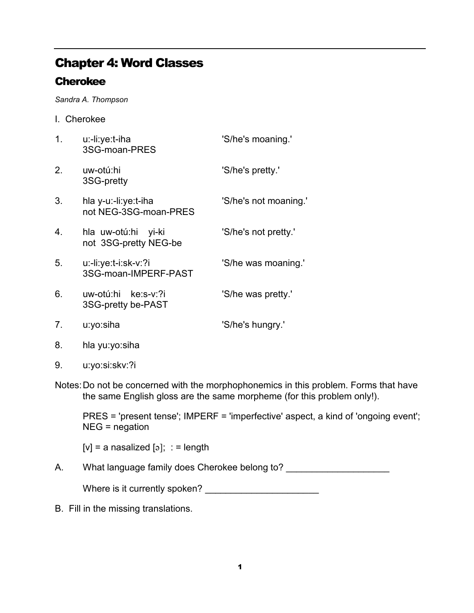## Chapter 4: Word Classes

## **Cherokee**

Sandra A. Thompson

I. Cherokee

| 1.               | u:-li:ye:t-iha<br>3SG-moan-PRES                 | 'S/he's moaning.'     |
|------------------|-------------------------------------------------|-----------------------|
| 2.               | uw-otú:hi<br>3SG-pretty                         | 'S/he's pretty.'      |
| 3.               | hla y-u:-li:ye:t-iha<br>not NEG-3SG-moan-PRES   | 'S/he's not moaning.' |
| $\overline{4}$ . | hla uw-otú:hi<br>yi-ki<br>not 3SG-pretty NEG-be | 'S/he's not pretty.'  |
| 5.               | u:-li:ye:t-i:sk-v:?i<br>3SG-moan-IMPERF-PAST    | 'S/he was moaning.'   |
| 6.               | uw-otú:hi ke:s-v:?i<br>3SG-pretty be-PAST       | 'S/he was pretty.'    |
| 7.               | u:yo:siha                                       | 'S/he's hungry.'      |
|                  |                                                 |                       |

- 8. hla yu:yo:siha
- 9. u:yo:si:skv:?i
- Notes: Do not be concerned with the morphophonemics in this problem. Forms that have the same English gloss are the same morpheme (for this problem only!).

 PRES = 'present tense'; IMPERF = 'imperfective' aspect, a kind of 'ongoing event'; NEG = negation

 $[v] = a$  nasalized  $[s]$ ; : = length

A. What language family does Cherokee belong to?

Where is it currently spoken? \_\_\_\_\_\_\_\_\_\_\_\_\_\_\_\_\_\_\_\_\_\_

B. Fill in the missing translations.